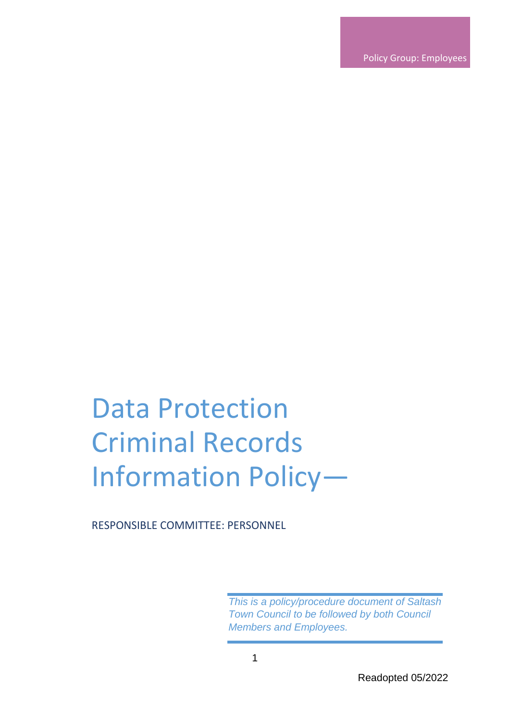Policy Group: Employees

# Data Protection Criminal Records Information Policy—

RESPONSIBLE COMMITTEE: PERSONNEL

*This is a policy/procedure document of Saltash Town Council to be followed by both Council Members and Employees.*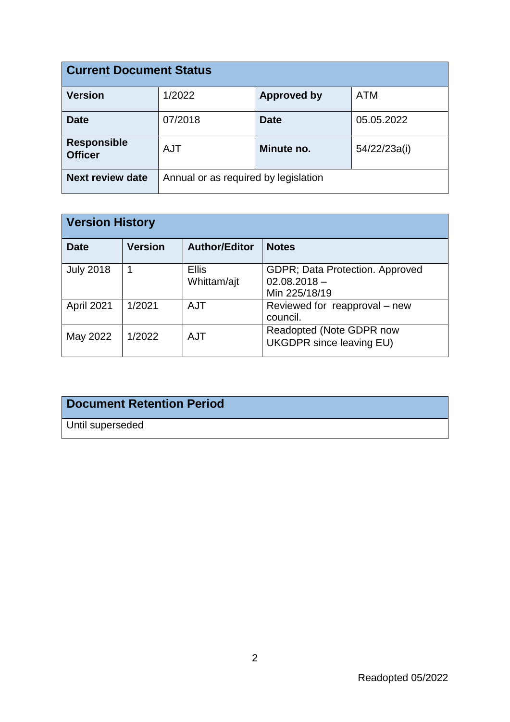| <b>Current Document Status</b>       |                                      |                    |              |  |
|--------------------------------------|--------------------------------------|--------------------|--------------|--|
| <b>Version</b>                       | 1/2022                               | <b>Approved by</b> | <b>ATM</b>   |  |
| <b>Date</b>                          | 07/2018                              | <b>Date</b>        | 05.05.2022   |  |
| <b>Responsible</b><br><b>Officer</b> | <b>AJT</b>                           | Minute no.         | 54/22/23a(i) |  |
| <b>Next review date</b>              | Annual or as required by legislation |                    |              |  |

| <b>Version History</b> |                |                             |                                                                            |  |
|------------------------|----------------|-----------------------------|----------------------------------------------------------------------------|--|
| <b>Date</b>            | <b>Version</b> | <b>Author/Editor</b>        | <b>Notes</b>                                                               |  |
| <b>July 2018</b>       |                | <b>Ellis</b><br>Whittam/ajt | <b>GDPR</b> ; Data Protection. Approved<br>$02.08.2018 -$<br>Min 225/18/19 |  |
| April 2021             | 1/2021         | <b>AJT</b>                  | Reviewed for reapproval – new<br>council.                                  |  |
| May 2022               | 1/2022         | <b>AJT</b>                  | Readopted (Note GDPR now<br><b>UKGDPR</b> since leaving EU)                |  |

## **Document Retention Period**

Until superseded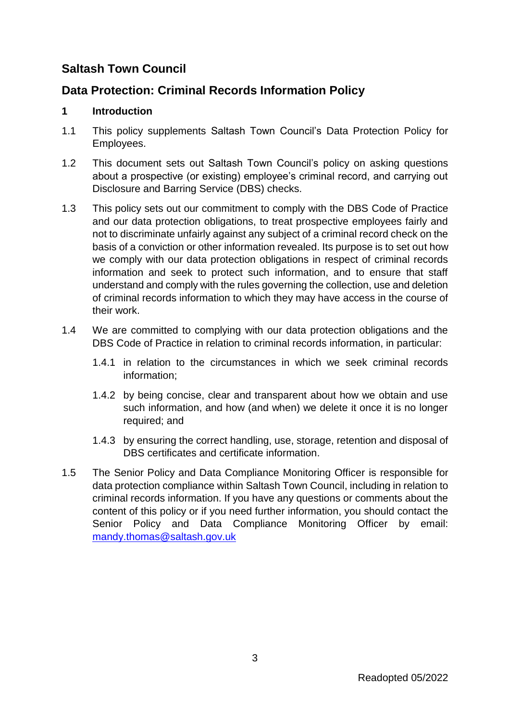## **Saltash Town Council**

## **Data Protection: Criminal Records Information Policy**

#### **1 Introduction**

- 1.1 This policy supplements Saltash Town Council's Data Protection Policy for Employees.
- 1.2 This document sets out Saltash Town Council's policy on asking questions about a prospective (or existing) employee's criminal record, and carrying out Disclosure and Barring Service (DBS) checks.
- 1.3 This policy sets out our commitment to comply with the DBS Code of Practice and our data protection obligations, to treat prospective employees fairly and not to discriminate unfairly against any subject of a criminal record check on the basis of a conviction or other information revealed. Its purpose is to set out how we comply with our data protection obligations in respect of criminal records information and seek to protect such information, and to ensure that staff understand and comply with the rules governing the collection, use and deletion of criminal records information to which they may have access in the course of their work.
- 1.4 We are committed to complying with our data protection obligations and the DBS Code of Practice in relation to criminal records information, in particular:
	- 1.4.1 in relation to the circumstances in which we seek criminal records information;
	- 1.4.2 by being concise, clear and transparent about how we obtain and use such information, and how (and when) we delete it once it is no longer required; and
	- 1.4.3 by ensuring the correct handling, use, storage, retention and disposal of DBS certificates and certificate information.
- 1.5 The Senior Policy and Data Compliance Monitoring Officer is responsible for data protection compliance within Saltash Town Council, including in relation to criminal records information. If you have any questions or comments about the content of this policy or if you need further information, you should contact the Senior Policy and Data Compliance Monitoring Officer by email: [mandy.thomas@saltash.gov.uk](mailto:mandy.thomas@saltash.gov.uk)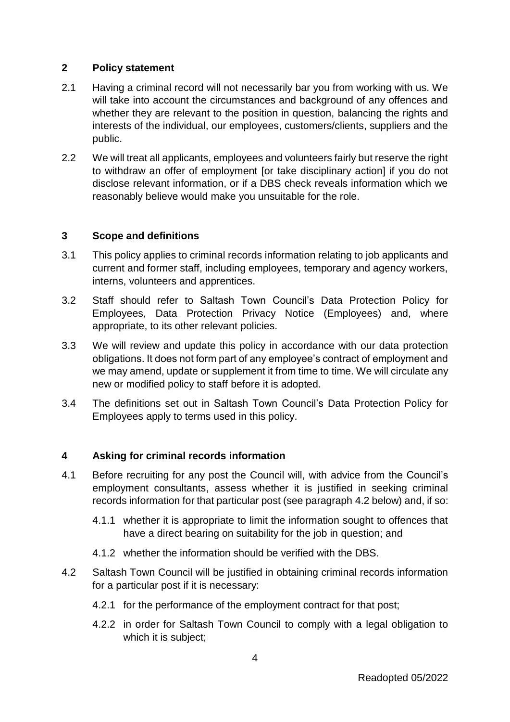#### **2 Policy statement**

- 2.1 Having a criminal record will not necessarily bar you from working with us. We will take into account the circumstances and background of any offences and whether they are relevant to the position in question, balancing the rights and interests of the individual, our employees, customers/clients, suppliers and the public.
- 2.2 We will treat all applicants, employees and volunteers fairly but reserve the right to withdraw an offer of employment [or take disciplinary action] if you do not disclose relevant information, or if a DBS check reveals information which we reasonably believe would make you unsuitable for the role.

#### **3 Scope and definitions**

- 3.1 This policy applies to criminal records information relating to job applicants and current and former staff, including employees, temporary and agency workers, interns, volunteers and apprentices.
- 3.2 Staff should refer to Saltash Town Council's Data Protection Policy for Employees, Data Protection Privacy Notice (Employees) and, where appropriate, to its other relevant policies.
- 3.3 We will review and update this policy in accordance with our data protection obligations. It does not form part of any employee's contract of employment and we may amend, update or supplement it from time to time. We will circulate any new or modified policy to staff before it is adopted.
- 3.4 The definitions set out in Saltash Town Council's Data Protection Policy for Employees apply to terms used in this policy.

#### **4 Asking for criminal records information**

- 4.1 Before recruiting for any post the Council will, with advice from the Council's employment consultants, assess whether it is justified in seeking criminal records information for that particular post (see paragraph [4.2](#page-3-0) below) and, if so:
	- 4.1.1 whether it is appropriate to limit the information sought to offences that have a direct bearing on suitability for the job in question; and
	- 4.1.2 whether the information should be verified with the DBS.
- <span id="page-3-0"></span>4.2 Saltash Town Council will be justified in obtaining criminal records information for a particular post if it is necessary:
	- 4.2.1 for the performance of the employment contract for that post;
	- 4.2.2 in order for Saltash Town Council to comply with a legal obligation to which it is subject;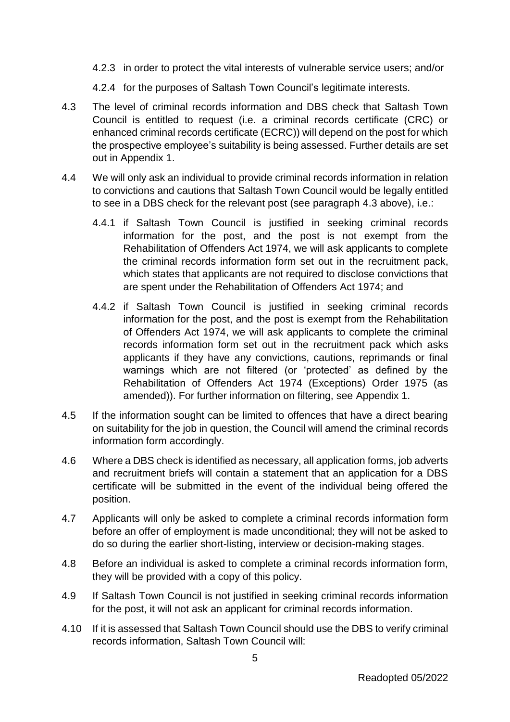- 4.2.3 in order to protect the vital interests of vulnerable service users; and/or
- 4.2.4 for the purposes of Saltash Town Council's legitimate interests.
- <span id="page-4-0"></span>4.3 The level of criminal records information and DBS check that Saltash Town Council is entitled to request (i.e. a criminal records certificate (CRC) or enhanced criminal records certificate (ECRC)) will depend on the post for which the prospective employee's suitability is being assessed. Further details are set out in [Appendix 1.](#page-7-0)
- 4.4 We will only ask an individual to provide criminal records information in relation to convictions and cautions that Saltash Town Council would be legally entitled to see in a DBS check for the relevant post (see paragraph [4.3](#page-4-0) above), i.e.:
	- 4.4.1 if Saltash Town Council is justified in seeking criminal records information for the post, and the post is not exempt from the Rehabilitation of Offenders Act 1974, we will ask applicants to complete the criminal records information form set out in the recruitment pack, which states that applicants are not required to disclose convictions that are spent under the Rehabilitation of Offenders Act 1974; and
	- 4.4.2 if Saltash Town Council is justified in seeking criminal records information for the post, and the post is exempt from the Rehabilitation of Offenders Act 1974, we will ask applicants to complete the criminal records information form set out in the recruitment pack which asks applicants if they have any convictions, cautions, reprimands or final warnings which are not filtered (or 'protected' as defined by the Rehabilitation of Offenders Act 1974 (Exceptions) Order 1975 (as amended)). For further information on filtering, see [Appendix 1.](#page-7-0)
- 4.5 If the information sought can be limited to offences that have a direct bearing on suitability for the job in question, the Council will amend the criminal records information form accordingly.
- 4.6 Where a DBS check is identified as necessary, all application forms, job adverts and recruitment briefs will contain a statement that an application for a DBS certificate will be submitted in the event of the individual being offered the position.
- 4.7 Applicants will only be asked to complete a criminal records information form before an offer of employment is made unconditional; they will not be asked to do so during the earlier short-listing, interview or decision-making stages.
- 4.8 Before an individual is asked to complete a criminal records information form, they will be provided with a copy of this policy.
- 4.9 If Saltash Town Council is not justified in seeking criminal records information for the post, it will not ask an applicant for criminal records information.
- 4.10 If it is assessed that Saltash Town Council should use the DBS to verify criminal records information, Saltash Town Council will: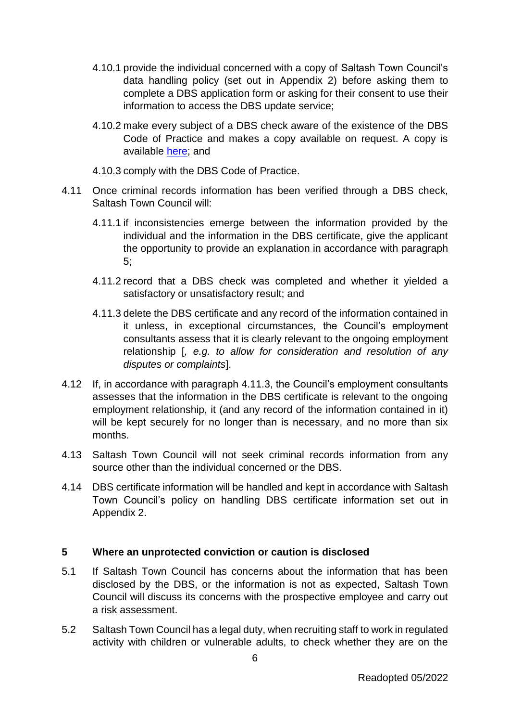- 4.10.1 provide the individual concerned with a copy of Saltash Town Council's data handling policy (set out in [Appendix 2\)](#page-9-0) before asking them to complete a DBS application form or asking for their consent to use their information to access the DBS update service;
- 4.10.2 make every subject of a DBS check aware of the existence of the DBS Code of Practice and makes a copy available on request. A copy is available [here;](http://www.gov.uk/government/publications/dbs-code-of-practice) and
- 4.10.3 comply with the DBS Code of Practice.
- 4.11 Once criminal records information has been verified through a DBS check, Saltash Town Council will:
	- 4.11.1 if inconsistencies emerge between the information provided by the individual and the information in the DBS certificate, give the applicant the opportunity to provide an explanation in accordance with paragraph [5;](#page-5-0)
	- 4.11.2 record that a DBS check was completed and whether it yielded a satisfactory or unsatisfactory result; and
	- 4.11.3 delete the DBS certificate and any record of the information contained in it unless, in exceptional circumstances, the Council's employment consultants assess that it is clearly relevant to the ongoing employment relationship [*, e.g. to allow for consideration and resolution of any disputes or complaints*].
- <span id="page-5-1"></span>4.12 If, in accordance with paragraph [4.11.3,](#page-5-1) the Council's employment consultants assesses that the information in the DBS certificate is relevant to the ongoing employment relationship, it (and any record of the information contained in it) will be kept securely for no longer than is necessary, and no more than six months.
- 4.13 Saltash Town Council will not seek criminal records information from any source other than the individual concerned or the DBS.
- 4.14 DBS certificate information will be handled and kept in accordance with Saltash Town Council's policy on handling DBS certificate information set out in [Appendix 2.](#page-9-0)

#### <span id="page-5-0"></span>**5 Where an unprotected conviction or caution is disclosed**

- 5.1 If Saltash Town Council has concerns about the information that has been disclosed by the DBS, or the information is not as expected, Saltash Town Council will discuss its concerns with the prospective employee and carry out a risk assessment.
- 5.2 Saltash Town Council has a legal duty, when recruiting staff to work in regulated activity with children or vulnerable adults, to check whether they are on the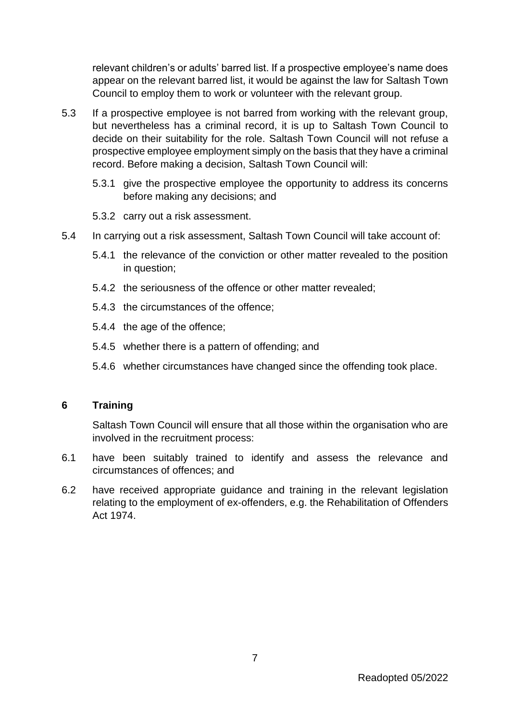relevant children's or adults' barred list. If a prospective employee's name does appear on the relevant barred list, it would be against the law for Saltash Town Council to employ them to work or volunteer with the relevant group.

- 5.3 If a prospective employee is not barred from working with the relevant group, but nevertheless has a criminal record, it is up to Saltash Town Council to decide on their suitability for the role. Saltash Town Council will not refuse a prospective employee employment simply on the basis that they have a criminal record. Before making a decision, Saltash Town Council will:
	- 5.3.1 give the prospective employee the opportunity to address its concerns before making any decisions; and
	- 5.3.2 carry out a risk assessment.
- 5.4 In carrying out a risk assessment, Saltash Town Council will take account of:
	- 5.4.1 the relevance of the conviction or other matter revealed to the position in question;
	- 5.4.2 the seriousness of the offence or other matter revealed;
	- 5.4.3 the circumstances of the offence;
	- 5.4.4 the age of the offence;
	- 5.4.5 whether there is a pattern of offending; and
	- 5.4.6 whether circumstances have changed since the offending took place.

#### **6 Training**

Saltash Town Council will ensure that all those within the organisation who are involved in the recruitment process:

- 6.1 have been suitably trained to identify and assess the relevance and circumstances of offences; and
- 6.2 have received appropriate guidance and training in the relevant legislation relating to the employment of ex-offenders, e.g. the Rehabilitation of Offenders Act 1974.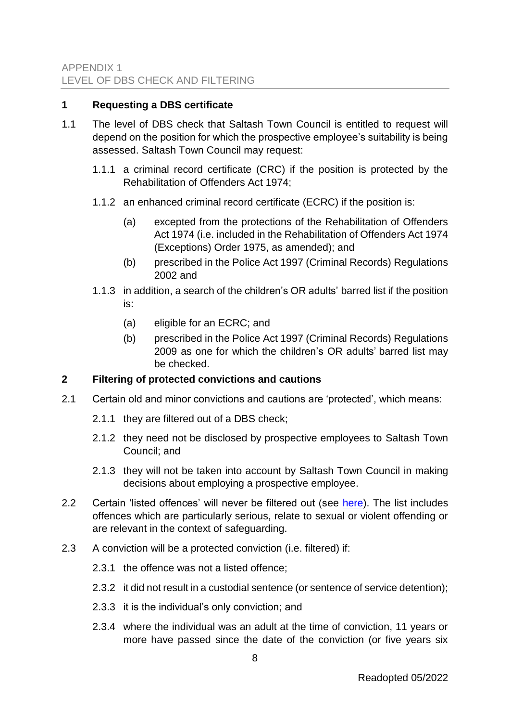#### <span id="page-7-0"></span>APPENDIX 1 LEVEL OF DBS CHECK AND FILTERING

#### **1 Requesting a DBS certificate**

- 1.1 The level of DBS check that Saltash Town Council is entitled to request will depend on the position for which the prospective employee's suitability is being assessed. Saltash Town Council may request:
	- 1.1.1 a criminal record certificate (CRC) if the position is protected by the Rehabilitation of Offenders Act 1974;
	- 1.1.2 an enhanced criminal record certificate (ECRC) if the position is:
		- (a) excepted from the protections of the Rehabilitation of Offenders Act 1974 (i.e. included in the Rehabilitation of Offenders Act 1974 (Exceptions) Order 1975, as amended); and
		- (b) prescribed in the Police Act 1997 (Criminal Records) Regulations 2002 and
	- 1.1.3 in addition, a search of the children's OR adults' barred list if the position is:
		- (a) eligible for an ECRC; and
		- (b) prescribed in the Police Act 1997 (Criminal Records) Regulations 2009 as one for which the children's OR adults' barred list may be checked.

#### **2 Filtering of protected convictions and cautions**

- 2.1 Certain old and minor convictions and cautions are 'protected', which means:
	- 2.1.1 they are filtered out of a DBS check;
	- 2.1.2 they need not be disclosed by prospective employees to Saltash Town Council; and
	- 2.1.3 they will not be taken into account by Saltash Town Council in making decisions about employing a prospective employee.
- 2.2 Certain 'listed offences' will never be filtered out (see [here\)](http://www.gov.uk/government/publications/dbs-list-of-offences-that-will-never-be-filtered-from-a-criminal-record-check). The list includes offences which are particularly serious, relate to sexual or violent offending or are relevant in the context of safeguarding.
- 2.3 A conviction will be a protected conviction (i.e. filtered) if:
	- 2.3.1 the offence was not a listed offence;
	- 2.3.2 it did not result in a custodial sentence (or sentence of service detention);
	- 2.3.3 it is the individual's only conviction; and
	- 2.3.4 where the individual was an adult at the time of conviction, 11 years or more have passed since the date of the conviction (or five years six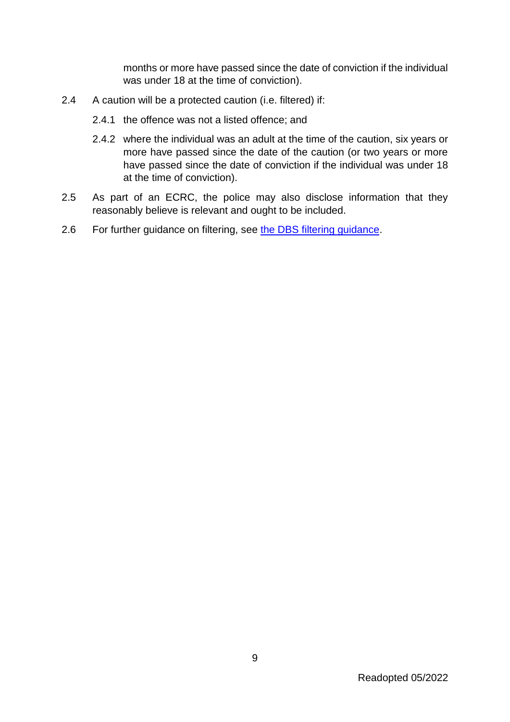months or more have passed since the date of conviction if the individual was under 18 at the time of conviction).

- 2.4 A caution will be a protected caution (i.e. filtered) if:
	- 2.4.1 the offence was not a listed offence; and
	- 2.4.2 where the individual was an adult at the time of the caution, six years or more have passed since the date of the caution (or two years or more have passed since the date of conviction if the individual was under 18 at the time of conviction).
- 2.5 As part of an ECRC, the police may also disclose information that they reasonably believe is relevant and ought to be included.
- 2.6 For further guidance on filtering, see [the DBS filtering guidance.](http://www.gov.uk/government/collections/dbs-filtering-guidance)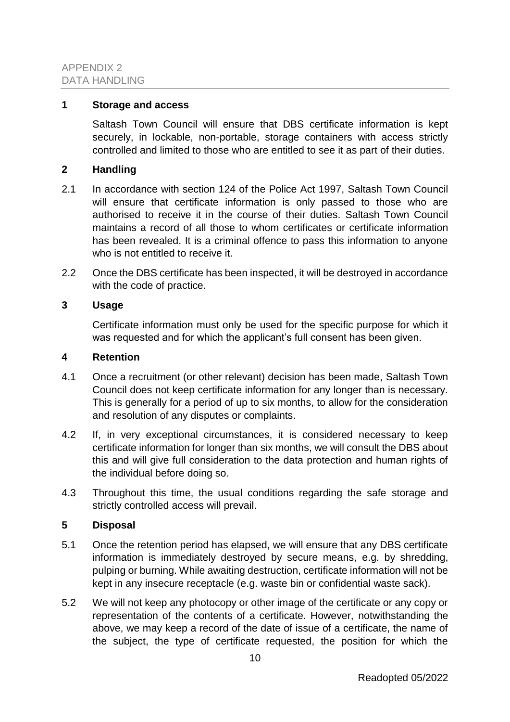#### <span id="page-9-0"></span>**1 Storage and access**

Saltash Town Council will ensure that DBS certificate information is kept securely, in lockable, non-portable, storage containers with access strictly controlled and limited to those who are entitled to see it as part of their duties.

#### **2 Handling**

- 2.1 In accordance with section 124 of the Police Act 1997, Saltash Town Council will ensure that certificate information is only passed to those who are authorised to receive it in the course of their duties. Saltash Town Council maintains a record of all those to whom certificates or certificate information has been revealed. It is a criminal offence to pass this information to anyone who is not entitled to receive it.
- 2.2 Once the DBS certificate has been inspected, it will be destroyed in accordance with the code of practice.

#### **3 Usage**

Certificate information must only be used for the specific purpose for which it was requested and for which the applicant's full consent has been given.

#### **4 Retention**

- 4.1 Once a recruitment (or other relevant) decision has been made, Saltash Town Council does not keep certificate information for any longer than is necessary. This is generally for a period of up to six months, to allow for the consideration and resolution of any disputes or complaints.
- 4.2 If, in very exceptional circumstances, it is considered necessary to keep certificate information for longer than six months, we will consult the DBS about this and will give full consideration to the data protection and human rights of the individual before doing so.
- 4.3 Throughout this time, the usual conditions regarding the safe storage and strictly controlled access will prevail.

#### **5 Disposal**

- 5.1 Once the retention period has elapsed, we will ensure that any DBS certificate information is immediately destroyed by secure means, e.g. by shredding, pulping or burning. While awaiting destruction, certificate information will not be kept in any insecure receptacle (e.g. waste bin or confidential waste sack).
- 5.2 We will not keep any photocopy or other image of the certificate or any copy or representation of the contents of a certificate. However, notwithstanding the above, we may keep a record of the date of issue of a certificate, the name of the subject, the type of certificate requested, the position for which the